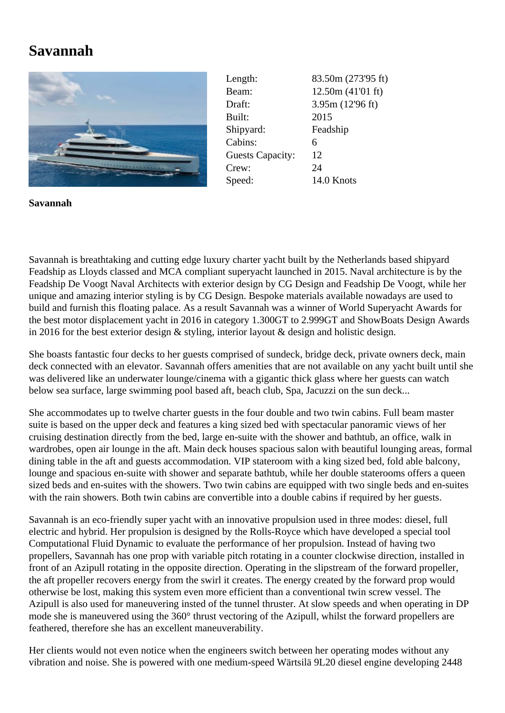## **Savannah**



| Length:                 | 83.50m (273'95 ft) |
|-------------------------|--------------------|
| Beam:                   | 12.50m(41'01 ft)   |
| Draft:                  | 3.95m(12'96 ft)    |
| Built:                  | 2015               |
| Shipyard:               | Feadship           |
| Cabins:                 | 6                  |
| <b>Guests Capacity:</b> | 12                 |
| Crew:                   | 24                 |
| Speed:                  | 14.0 Knots         |

**Savannah**

Savannah is breathtaking and cutting edge luxury charter yacht built by the Netherlands based shipyard Feadship as Lloyds classed and MCA compliant superyacht launched in 2015. Naval architecture is by the Feadship De Voogt Naval Architects with exterior design by CG Design and Feadship De Voogt, while her unique and amazing interior styling is by CG Design. Bespoke materials available nowadays are used to build and furnish this floating palace. As a result Savannah was a winner of World Superyacht Awards for the best motor displacement yacht in 2016 in category 1.300GT to 2.999GT and ShowBoats Design Awards in 2016 for the best exterior design & styling, interior layout & design and holistic design.

She boasts fantastic four decks to her guests comprised of sundeck, bridge deck, private owners deck, main deck connected with an elevator. Savannah offers amenities that are not available on any yacht built until she was delivered like an underwater lounge/cinema with a gigantic thick glass where her guests can watch below sea surface, large swimming pool based aft, beach club, Spa, Jacuzzi on the sun deck...

She accommodates up to twelve charter guests in the four double and two twin cabins. Full beam master suite is based on the upper deck and features a king sized bed with spectacular panoramic views of her cruising destination directly from the bed, large en-suite with the shower and bathtub, an office, walk in wardrobes, open air lounge in the aft. Main deck houses spacious salon with beautiful lounging areas, formal dining table in the aft and guests accommodation. VIP stateroom with a king sized bed, fold able balcony, lounge and spacious en-suite with shower and separate bathtub, while her double staterooms offers a queen sized beds and en-suites with the showers. Two twin cabins are equipped with two single beds and en-suites with the rain showers. Both twin cabins are convertible into a double cabins if required by her guests.

Savannah is an eco-friendly super yacht with an innovative propulsion used in three modes: diesel, full electric and hybrid. Her propulsion is designed by the Rolls-Royce which have developed a special tool Computational Fluid Dynamic to evaluate the performance of her propulsion. Instead of having two propellers, Savannah has one prop with variable pitch rotating in a counter clockwise direction, installed in front of an Azipull rotating in the opposite direction. Operating in the slipstream of the forward propeller, the aft propeller recovers energy from the swirl it creates. The energy created by the forward prop would otherwise be lost, making this system even more efficient than a conventional twin screw vessel. The Azipull is also used for maneuvering insted of the tunnel thruster. At slow speeds and when operating in DP mode she is maneuvered using the 360° thrust vectoring of the Azipull, whilst the forward propellers are feathered, therefore she has an excellent maneuverability.

Her clients would not even notice when the engineers switch between her operating modes without any vibration and noise. She is powered with one medium-speed Wärtsilä 9L20 diesel engine developing 2448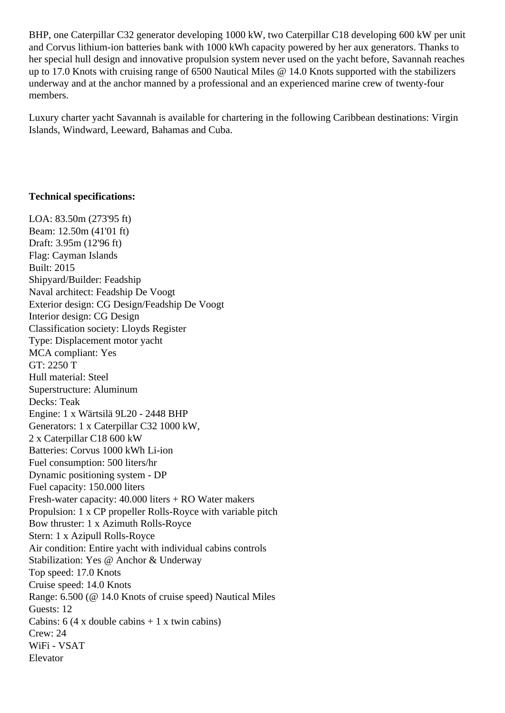BHP, one Caterpillar C32 generator developing 1000 kW, two Caterpillar C18 developing 600 kW per unit and Corvus lithium-ion batteries bank with 1000 kWh capacity powered by her aux generators. Thanks to her special hull design and innovative propulsion system never used on the yacht before, Savannah reaches up to 17.0 Knots with cruising range of 6500 Nautical Miles @ 14.0 Knots supported with the stabilizers underway and at the anchor manned by a professional and an experienced marine crew of twenty-four members.

Luxury charter yacht Savannah is available for chartering in the following Caribbean destinations: Virgin Islands, Windward, Leeward, Bahamas and Cuba.

## **Technical specifications:**

LOA: 83.50m (273'95 ft) Beam: 12.50m (41'01 ft) Draft: 3.95m (12'96 ft) Flag: Cayman Islands Built: 2015 Shipyard/Builder: Feadship Naval architect: Feadship De Voogt Exterior design: CG Design/Feadship De Voogt Interior design: CG Design Classification society: Lloyds Register Type: Displacement motor yacht MCA compliant: Yes GT: 2250 T Hull material: Steel Superstructure: Aluminum Decks: Teak Engine: 1 x Wärtsilä 9L20 - 2448 BHP Generators: 1 x Caterpillar C32 1000 kW, 2 x Caterpillar C18 600 kW Batteries: Corvus 1000 kWh Li-ion Fuel consumption: 500 liters/hr Dynamic positioning system - DP Fuel capacity: 150.000 liters Fresh-water capacity: 40.000 liters + RO Water makers Propulsion: 1 x CP propeller Rolls-Royce with variable pitch Bow thruster: 1 x Azimuth Rolls-Royce Stern: 1 x Azipull Rolls-Royce Air condition: Entire yacht with individual cabins controls Stabilization: Yes @ Anchor & Underway Top speed: 17.0 Knots Cruise speed: 14.0 Knots Range: 6.500 (@ 14.0 Knots of cruise speed) Nautical Miles Guests: 12 Cabins:  $6$  (4 x double cabins + 1 x twin cabins) Crew: 24 WiFi - VSAT Elevator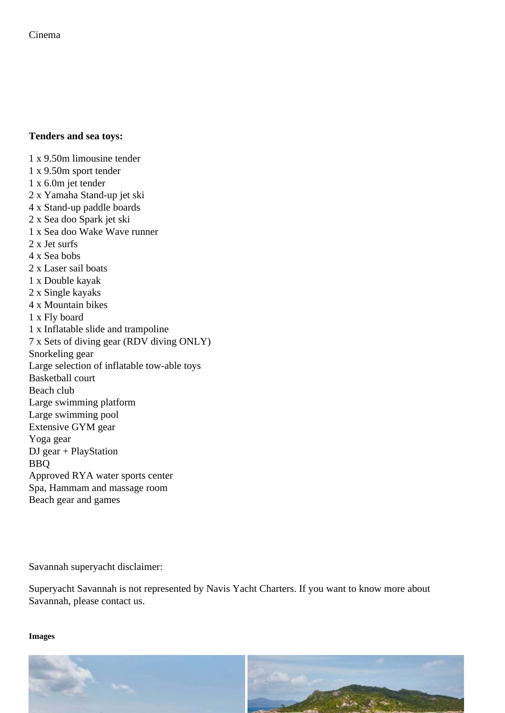Tenders and sea toys:

1 x 9.50m limousine tender

- 1 x 9.50m sport tender
- 1 x 6.0m jet tender
- 2 x Yamaha Stand-up jet ski
- 4 x Stand-up paddle boards
- 2 x Sea doo Spark jet ski
- 1 x Sea doo Wake Wave runner
- 2 x Jet surfs
- 4 x Sea bobs
- 2 x Laser sail boats
- 1 x Double kayak
- 2 x Single kayaks
- 4 x Mountain bikes
- 1 x Fly board
- 1 x Inflatable slide and trampoline
- 7 x Sets of diving gear (RDV diving ONLY)
- Snorkeling gear
- Large selection of inflatable tow-able toys
- Basketball court
- Beach club
- Large swimming platform
- Large swimming pool
- Extensive GYM gear
- Yoga gear
- DJ gear + PlayStation
- BBQ
- Approved RYA water sports center
- Spa, Hammam and massage room
- Beach gear and games

Savannah superyacht disclaimer:

Superyacht Savannah is not represented by Navis Yacht Charters. If you want to know more about Savannah, please contact us.

Images